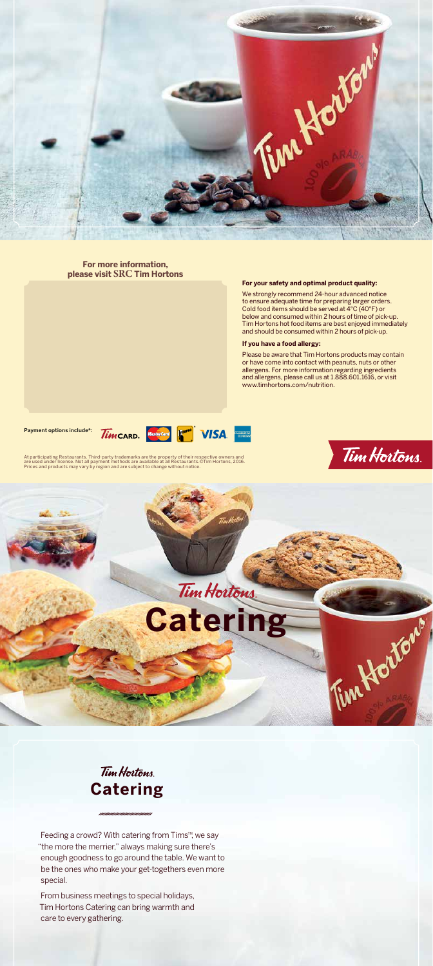



At participating Restaurants. Third-party trademarks are the property of their respective owners and<br>are used under license. Not all payment methods are available at all Restaurants.©Tim Hortons, 2016.<br>Prices and products

///////////////////////////////////



### **For more information, please visit SRC Tim Hortons**

#### **For your safety and optimal product quality:**

We strongly recommend 24-hour advanced notice to ensure adequate time for preparing larger orders. Cold food items should be served at 4°C (40°F) or below and consumed within 2 hours of time of pick-up. Tim Hortons hot food items are best enjoyed immediately and should be consumed within 2 hours of pick-up.

#### **If you have a food allergy:**

# Tim Hortons **Catering**

Please be aware that Tim Hortons products may contain or have come into contact with peanuts, nuts or other allergens. For more information regarding ingredients and allergens, please call us at 1.888.601.1616, or visit www.timhortons.com/nutrition.

Feeding a crowd? With catering from Tims<sup>™</sup>, we say "the more the merrier," always making sure there's enough goodness to go around the table. We want to be the ones who make your get-togethers even more special.

Payment options include\*:







From business meetings to special holidays, Tim Hortons Catering can bring warmth and care to every gathering.